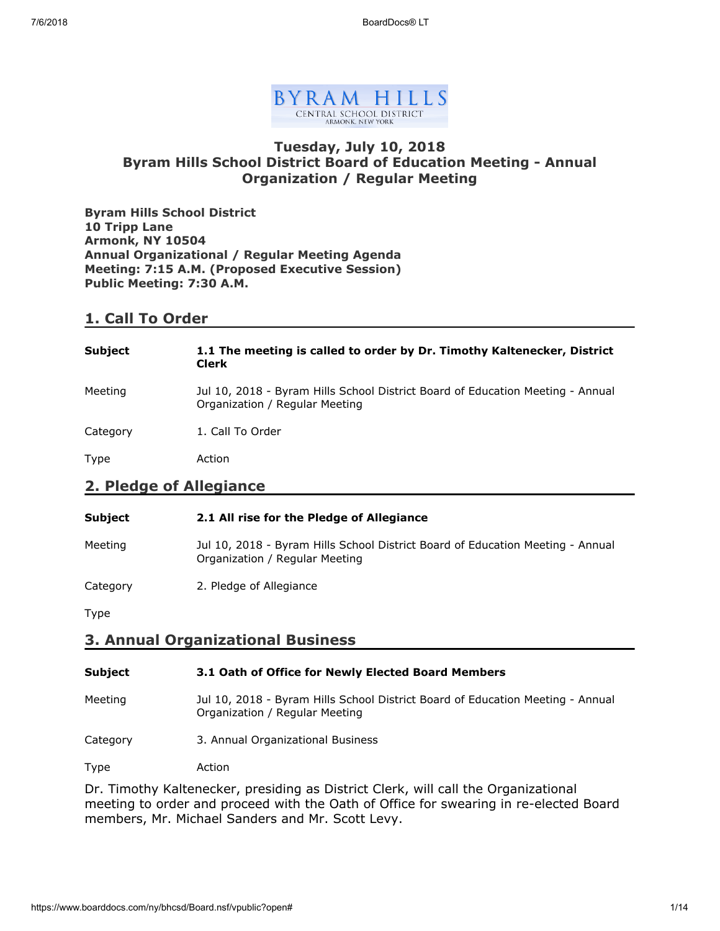

### **Tuesday, July 10, 2018 Byram Hills School District Board of Education Meeting - Annual Organization / Regular Meeting**

**Byram Hills School District 10 Tripp Lane Armonk, NY 10504 Annual Organizational / Regular Meeting Agenda Meeting: 7:15 A.M. (Proposed Executive Session) Public Meeting: 7:30 A.M.**

# **1. Call To Order**

| <b>Subject</b>          | 1.1 The meeting is called to order by Dr. Timothy Kaltenecker, District<br><b>Clerk</b>                          |
|-------------------------|------------------------------------------------------------------------------------------------------------------|
| Meeting                 | Jul 10, 2018 - Byram Hills School District Board of Education Meeting - Annual<br>Organization / Regular Meeting |
| Category                | 1. Call To Order                                                                                                 |
| Type                    | Action                                                                                                           |
| 2. Pledge of Allegiance |                                                                                                                  |

| Subject  | 2.1 All rise for the Pledge of Allegiance                                                                        |
|----------|------------------------------------------------------------------------------------------------------------------|
| Meeting  | Jul 10, 2018 - Byram Hills School District Board of Education Meeting - Annual<br>Organization / Regular Meeting |
| Category | 2. Pledge of Allegiance                                                                                          |
| Type     |                                                                                                                  |

### **3. Annual Organizational Business**

| <b>Subject</b> | 3.1 Oath of Office for Newly Elected Board Members                                                               |
|----------------|------------------------------------------------------------------------------------------------------------------|
| Meeting        | Jul 10, 2018 - Byram Hills School District Board of Education Meeting - Annual<br>Organization / Regular Meeting |
| Category       | 3. Annual Organizational Business                                                                                |
| Type           | Action                                                                                                           |

Dr. Timothy Kaltenecker, presiding as District Clerk, will call the Organizational meeting to order and proceed with the Oath of Office for swearing in re-elected Board members, Mr. Michael Sanders and Mr. Scott Levy.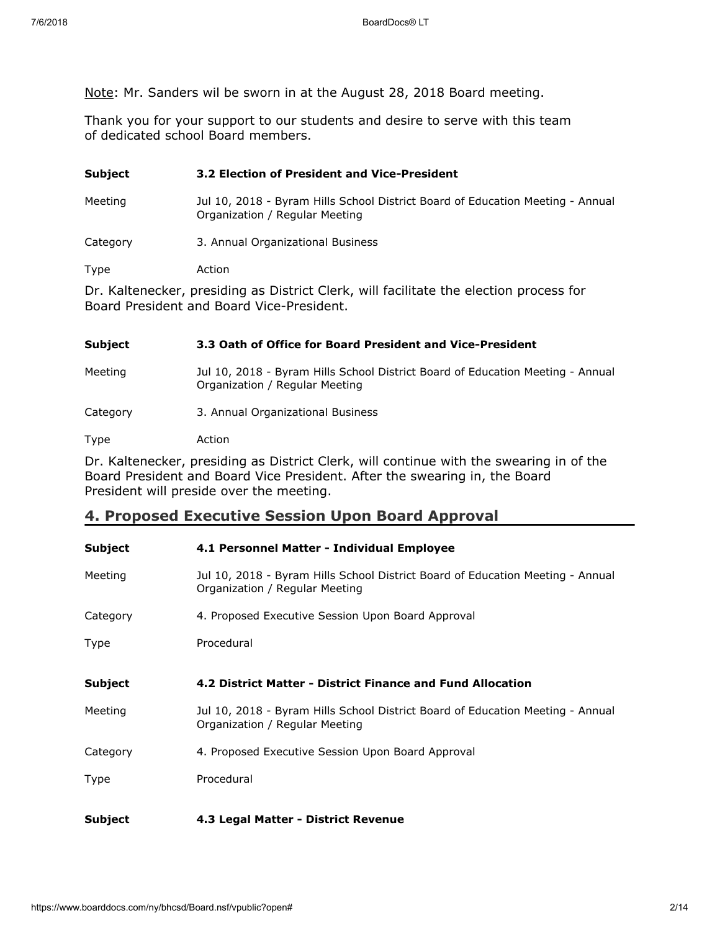Note: Mr. Sanders wil be sworn in at the August 28, 2018 Board meeting.

Thank you for your support to our students and desire to serve with this team of dedicated school Board members.

| <b>Subject</b>                                                                                                                      | 3.2 Election of President and Vice-President                                                                     |
|-------------------------------------------------------------------------------------------------------------------------------------|------------------------------------------------------------------------------------------------------------------|
| Meeting                                                                                                                             | Jul 10, 2018 - Byram Hills School District Board of Education Meeting - Annual<br>Organization / Regular Meeting |
| Category                                                                                                                            | 3. Annual Organizational Business                                                                                |
| Type                                                                                                                                | Action                                                                                                           |
| Dr. Kaltenecker, presiding as District Clerk, will facilitate the election process for<br>Board President and Board Vice-President. |                                                                                                                  |

### **Subject 3.3 Oath of Office for Board President and Vice-President**

Meeting Jul 10, 2018 - Byram Hills School District Board of Education Meeting - Annual Organization / Regular Meeting

Category 3. Annual Organizational Business

Type Action

Dr. Kaltenecker, presiding as District Clerk, will continue with the swearing in of the Board President and Board Vice President. After the swearing in, the Board President will preside over the meeting.

# **4. Proposed Executive Session Upon Board Approval**

| <b>Subject</b> | 4.1 Personnel Matter - Individual Employee                                                                       |
|----------------|------------------------------------------------------------------------------------------------------------------|
| Meeting        | Jul 10, 2018 - Byram Hills School District Board of Education Meeting - Annual<br>Organization / Regular Meeting |
| Category       | 4. Proposed Executive Session Upon Board Approval                                                                |
| Type           | Procedural                                                                                                       |
| <b>Subject</b> | 4.2 District Matter - District Finance and Fund Allocation                                                       |
| Meeting        | Jul 10, 2018 - Byram Hills School District Board of Education Meeting - Annual<br>Organization / Regular Meeting |
| Category       | 4. Proposed Executive Session Upon Board Approval                                                                |
| Type           | Procedural                                                                                                       |
| Subject        | 4.3 Legal Matter - District Revenue                                                                              |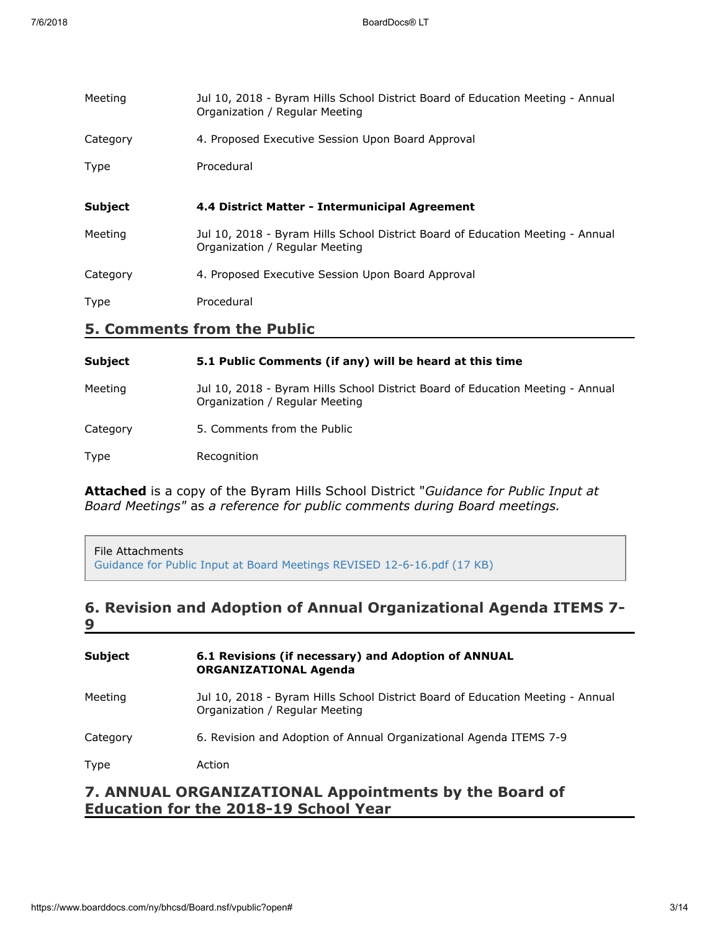| Meeting                            | Jul 10, 2018 - Byram Hills School District Board of Education Meeting - Annual<br>Organization / Regular Meeting |
|------------------------------------|------------------------------------------------------------------------------------------------------------------|
| Category                           | 4. Proposed Executive Session Upon Board Approval                                                                |
| Type                               | Procedural                                                                                                       |
|                                    |                                                                                                                  |
| <b>Subject</b>                     | 4.4 District Matter - Intermunicipal Agreement                                                                   |
| Meeting                            | Jul 10, 2018 - Byram Hills School District Board of Education Meeting - Annual<br>Organization / Regular Meeting |
| Category                           | 4. Proposed Executive Session Upon Board Approval                                                                |
| Type                               | Procedural                                                                                                       |
| <b>5. Comments from the Public</b> |                                                                                                                  |
|                                    |                                                                                                                  |

| <b>Subject</b> | 5.1 Public Comments (if any) will be heard at this time                                                          |
|----------------|------------------------------------------------------------------------------------------------------------------|
| Meeting        | Jul 10, 2018 - Byram Hills School District Board of Education Meeting - Annual<br>Organization / Regular Meeting |
| Category       | 5. Comments from the Public                                                                                      |
| Type           | Recognition                                                                                                      |

**Attached** is a copy of the Byram Hills School District "*Guidance for Public Input at Board Meetings"* as *a reference for public comments during Board meetings.*

File Attachments [Guidance for Public Input at Board Meetings REVISED 12-6-16.pdf \(17 KB\)](https://www.boarddocs.com/ny/bhcsd/Board.nsf/files/AYSVXJ682C2F/$file/Guidance%20for%20Public%20Input%20at%20Board%20Meetings%20REVISED%2012-6-16.pdf)

### **6. Revision and Adoption of Annual Organizational Agenda ITEMS 7- 9**

| <b>Subject</b> | 6.1 Revisions (if necessary) and Adoption of ANNUAL<br><b>ORGANIZATIONAL Agenda</b>                              |
|----------------|------------------------------------------------------------------------------------------------------------------|
| Meeting        | Jul 10, 2018 - Byram Hills School District Board of Education Meeting - Annual<br>Organization / Regular Meeting |
| Category       | 6. Revision and Adoption of Annual Organizational Agenda ITEMS 7-9                                               |
| Type           | Action                                                                                                           |
|                | ANNIIAI ORGANIZATIONAI Annointments by the Roard of                                                              |

### **7. ANNUAL ORGANIZATIONAL Appointments by the Board of Education for the 2018-19 School Year**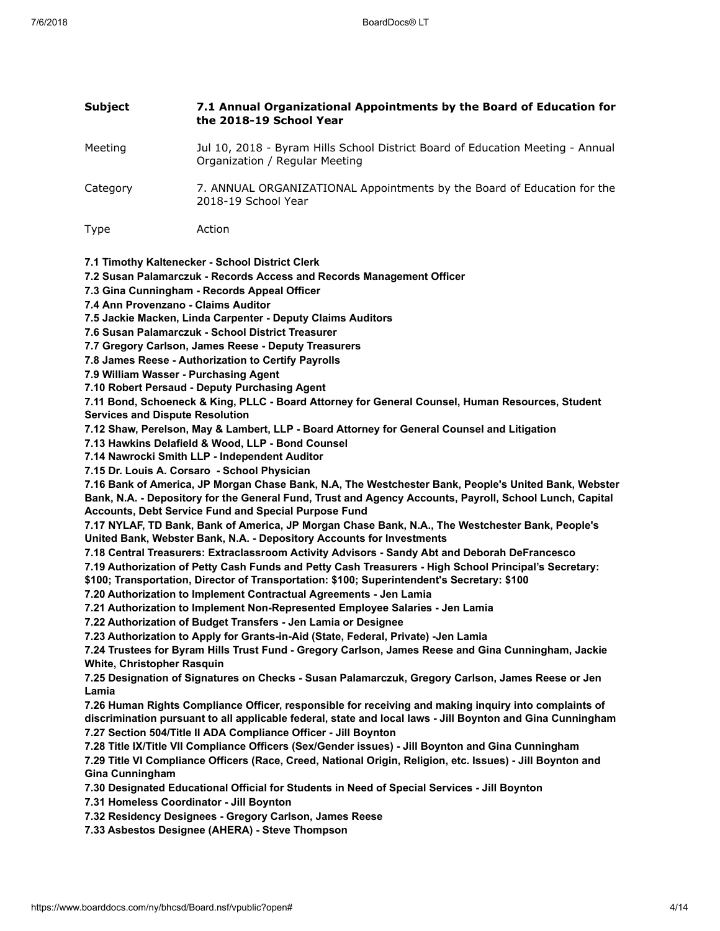| <b>Subject</b>                                                                                                                                                                                                                      | 7.1 Annual Organizational Appointments by the Board of Education for<br>the 2018-19 School Year                                                                                                                                                                                                                                                                                                                                                                                                                                                                                                                                                                                                                                                                                                                                                                                                                                                                                                                                                                                                                                                                                                                                                                                                                                                                                                                                                                                                                                                                                                                                                                                                                                                                                                                                                                                                                                                                                                                                                                                                                                                                                                                                                                                                                                                                                                                                                                                                                                                                                                                                                                                                                                                                                                                                               |
|-------------------------------------------------------------------------------------------------------------------------------------------------------------------------------------------------------------------------------------|-----------------------------------------------------------------------------------------------------------------------------------------------------------------------------------------------------------------------------------------------------------------------------------------------------------------------------------------------------------------------------------------------------------------------------------------------------------------------------------------------------------------------------------------------------------------------------------------------------------------------------------------------------------------------------------------------------------------------------------------------------------------------------------------------------------------------------------------------------------------------------------------------------------------------------------------------------------------------------------------------------------------------------------------------------------------------------------------------------------------------------------------------------------------------------------------------------------------------------------------------------------------------------------------------------------------------------------------------------------------------------------------------------------------------------------------------------------------------------------------------------------------------------------------------------------------------------------------------------------------------------------------------------------------------------------------------------------------------------------------------------------------------------------------------------------------------------------------------------------------------------------------------------------------------------------------------------------------------------------------------------------------------------------------------------------------------------------------------------------------------------------------------------------------------------------------------------------------------------------------------------------------------------------------------------------------------------------------------------------------------------------------------------------------------------------------------------------------------------------------------------------------------------------------------------------------------------------------------------------------------------------------------------------------------------------------------------------------------------------------------------------------------------------------------------------------------------------------------|
| Meeting                                                                                                                                                                                                                             | Jul 10, 2018 - Byram Hills School District Board of Education Meeting - Annual<br>Organization / Regular Meeting                                                                                                                                                                                                                                                                                                                                                                                                                                                                                                                                                                                                                                                                                                                                                                                                                                                                                                                                                                                                                                                                                                                                                                                                                                                                                                                                                                                                                                                                                                                                                                                                                                                                                                                                                                                                                                                                                                                                                                                                                                                                                                                                                                                                                                                                                                                                                                                                                                                                                                                                                                                                                                                                                                                              |
| Category                                                                                                                                                                                                                            | 7. ANNUAL ORGANIZATIONAL Appointments by the Board of Education for the<br>2018-19 School Year                                                                                                                                                                                                                                                                                                                                                                                                                                                                                                                                                                                                                                                                                                                                                                                                                                                                                                                                                                                                                                                                                                                                                                                                                                                                                                                                                                                                                                                                                                                                                                                                                                                                                                                                                                                                                                                                                                                                                                                                                                                                                                                                                                                                                                                                                                                                                                                                                                                                                                                                                                                                                                                                                                                                                |
| <b>Type</b>                                                                                                                                                                                                                         | Action                                                                                                                                                                                                                                                                                                                                                                                                                                                                                                                                                                                                                                                                                                                                                                                                                                                                                                                                                                                                                                                                                                                                                                                                                                                                                                                                                                                                                                                                                                                                                                                                                                                                                                                                                                                                                                                                                                                                                                                                                                                                                                                                                                                                                                                                                                                                                                                                                                                                                                                                                                                                                                                                                                                                                                                                                                        |
| 7.4 Ann Provenzano - Claims Auditor<br>7.9 William Wasser - Purchasing Agent<br><b>Services and Dispute Resolution</b><br>White, Christopher Rasquin<br>Lamia<br><b>Gina Cunningham</b><br>7.31 Homeless Coordinator - Jill Boynton | 7.1 Timothy Kaltenecker - School District Clerk<br>7.2 Susan Palamarczuk - Records Access and Records Management Officer<br>7.3 Gina Cunningham - Records Appeal Officer<br>7.5 Jackie Macken, Linda Carpenter - Deputy Claims Auditors<br>7.6 Susan Palamarczuk - School District Treasurer<br>7.7 Gregory Carlson, James Reese - Deputy Treasurers<br>7.8 James Reese - Authorization to Certify Payrolls<br>7.10 Robert Persaud - Deputy Purchasing Agent<br>7.11 Bond, Schoeneck & King, PLLC - Board Attorney for General Counsel, Human Resources, Student<br>7.12 Shaw, Perelson, May & Lambert, LLP - Board Attorney for General Counsel and Litigation<br>7.13 Hawkins Delafield & Wood, LLP - Bond Counsel<br>7.14 Nawrocki Smith LLP - Independent Auditor<br>7.15 Dr. Louis A. Corsaro - School Physician<br>7.16 Bank of America, JP Morgan Chase Bank, N.A, The Westchester Bank, People's United Bank, Webster<br>Bank, N.A. - Depository for the General Fund, Trust and Agency Accounts, Payroll, School Lunch, Capital<br>Accounts, Debt Service Fund and Special Purpose Fund<br>7.17 NYLAF, TD Bank, Bank of America, JP Morgan Chase Bank, N.A., The Westchester Bank, People's<br>United Bank, Webster Bank, N.A. - Depository Accounts for Investments<br>7.18 Central Treasurers: Extraclassroom Activity Advisors - Sandy Abt and Deborah DeFrancesco<br>7.19 Authorization of Petty Cash Funds and Petty Cash Treasurers - High School Principal's Secretary:<br>\$100; Transportation, Director of Transportation: \$100; Superintendent's Secretary: \$100<br>7.20 Authorization to Implement Contractual Agreements - Jen Lamia<br>7.21 Authorization to Implement Non-Represented Employee Salaries - Jen Lamia<br>7.22 Authorization of Budget Transfers - Jen Lamia or Designee<br>7.23 Authorization to Apply for Grants-in-Aid (State, Federal, Private) -Jen Lamia<br>7.24 Trustees for Byram Hills Trust Fund - Gregory Carlson, James Reese and Gina Cunningham, Jackie<br>7.25 Designation of Signatures on Checks - Susan Palamarczuk, Gregory Carlson, James Reese or Jen<br>7.26 Human Rights Compliance Officer, responsible for receiving and making inquiry into complaints of<br>discrimination pursuant to all applicable federal, state and local laws - Jill Boynton and Gina Cunningham<br>7.27 Section 504/Title II ADA Compliance Officer - Jill Boynton<br>7.28 Title IX/Title VII Compliance Officers (Sex/Gender issues) - Jill Boynton and Gina Cunningham<br>7.29 Title VI Compliance Officers (Race, Creed, National Origin, Religion, etc. Issues) - Jill Boynton and<br>7.30 Designated Educational Official for Students in Need of Special Services - Jill Boynton<br>7.32 Residency Designees - Gregory Carlson, James Reese<br>7.33 Asbestos Designee (AHERA) - Steve Thompson |
|                                                                                                                                                                                                                                     |                                                                                                                                                                                                                                                                                                                                                                                                                                                                                                                                                                                                                                                                                                                                                                                                                                                                                                                                                                                                                                                                                                                                                                                                                                                                                                                                                                                                                                                                                                                                                                                                                                                                                                                                                                                                                                                                                                                                                                                                                                                                                                                                                                                                                                                                                                                                                                                                                                                                                                                                                                                                                                                                                                                                                                                                                                               |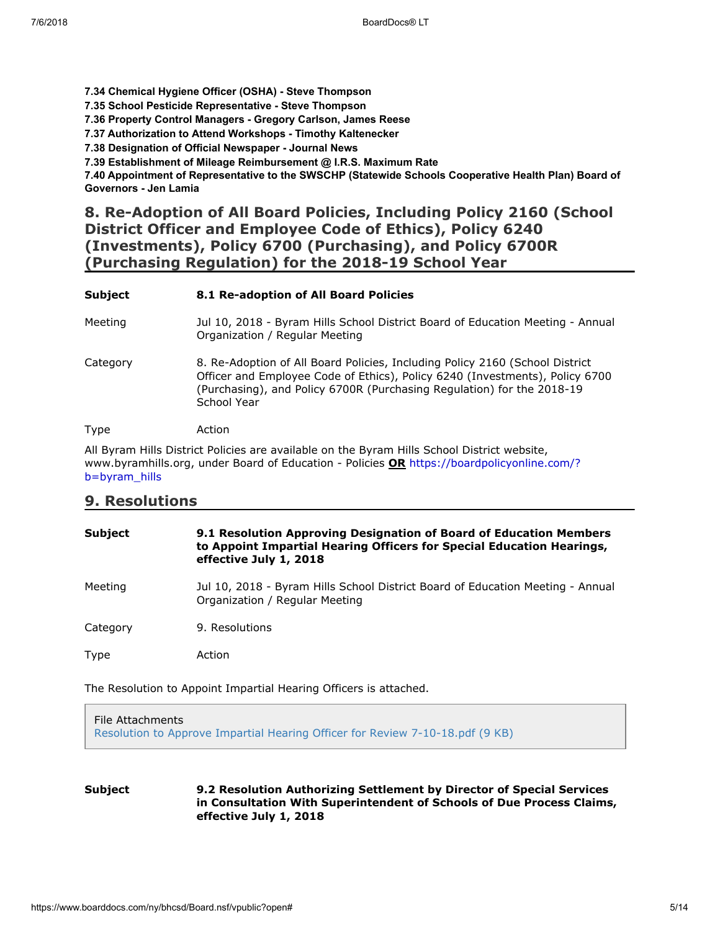**7.34 Chemical Hygiene Officer (OSHA) - Steve Thompson**

**7.35 School Pesticide Representative - Steve Thompson**

**7.36 Property Control Managers - Gregory Carlson, James Reese**

**7.37 Authorization to Attend Workshops - Timothy Kaltenecker**

**7.38 Designation of Official Newspaper - Journal News**

**7.39 Establishment of Mileage Reimbursement @ I.R.S. Maximum Rate**

**7.40 Appointment of Representative to the SWSCHP (Statewide Schools Cooperative Health Plan) Board of Governors - Jen Lamia**

### **8. Re-Adoption of All Board Policies, Including Policy 2160 (School District Officer and Employee Code of Ethics), Policy 6240 (Investments), Policy 6700 (Purchasing), and Policy 6700R (Purchasing Regulation) for the 2018-19 School Year**

| <b>Subject</b> | 8.1 Re-adoption of All Board Policies                                                                                                                                                                                                                 |
|----------------|-------------------------------------------------------------------------------------------------------------------------------------------------------------------------------------------------------------------------------------------------------|
| Meeting        | Jul 10, 2018 - Byram Hills School District Board of Education Meeting - Annual<br>Organization / Regular Meeting                                                                                                                                      |
| Category       | 8. Re-Adoption of All Board Policies, Including Policy 2160 (School District<br>Officer and Employee Code of Ethics), Policy 6240 (Investments), Policy 6700<br>(Purchasing), and Policy 6700R (Purchasing Regulation) for the 2018-19<br>School Year |
| Type           | Action                                                                                                                                                                                                                                                |

All Byram Hills District Policies are available on the Byram Hills School District website, [www.byramhills.org, under Board of Education - Policies](https://boardpolicyonline.com/?b=byram_hills) **OR** https://boardpolicyonline.com/? b=byram\_hills

### **9. Resolutions**

| <b>Subject</b> | 9.1 Resolution Approving Designation of Board of Education Members<br>to Appoint Impartial Hearing Officers for Special Education Hearings,<br>effective July 1, 2018 |
|----------------|-----------------------------------------------------------------------------------------------------------------------------------------------------------------------|
| Meeting        | Jul 10, 2018 - Byram Hills School District Board of Education Meeting - Annual<br>Organization / Regular Meeting                                                      |
| Category       | 9. Resolutions                                                                                                                                                        |
| Type           | Action                                                                                                                                                                |

The Resolution to Appoint Impartial Hearing Officers is attached.

File Attachments [Resolution to Approve Impartial Hearing Officer for Review 7-10-18.pdf \(9 KB\)](https://www.boarddocs.com/ny/bhcsd/Board.nsf/files/B2EJAS4C47E9/$file/Resolution%20to%20Approve%20Impartial%20Hearing%20Officer%20for%20Review%20%207-10-18.pdf)

**Subject 9.2 Resolution Authorizing Settlement by Director of Special Services in Consultation With Superintendent of Schools of Due Process Claims, effective July 1, 2018**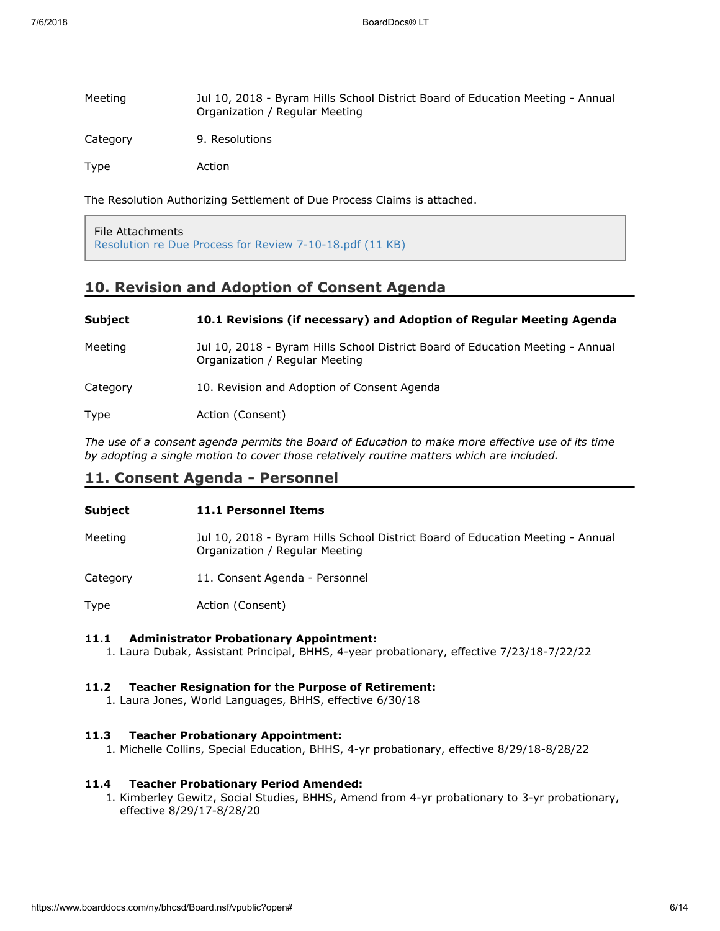| Meeting  | Jul 10, 2018 - Byram Hills School District Board of Education Meeting - Annual<br>Organization / Regular Meeting |
|----------|------------------------------------------------------------------------------------------------------------------|
| Category | 9. Resolutions                                                                                                   |
| Type     | Action                                                                                                           |

The Resolution Authorizing Settlement of Due Process Claims is attached.

File Attachments [Resolution re Due Process for Review 7-10-18.pdf \(11 KB\)](https://www.boarddocs.com/ny/bhcsd/Board.nsf/files/B2EJCC4C81B7/$file/Resolution%20re%20Due%20Process%20for%20Review%20%207-10-18.pdf)

# **10. Revision and Adoption of Consent Agenda**

| Subject  | 10.1 Revisions (if necessary) and Adoption of Regular Meeting Agenda                                             |
|----------|------------------------------------------------------------------------------------------------------------------|
| Meeting  | Jul 10, 2018 - Byram Hills School District Board of Education Meeting - Annual<br>Organization / Regular Meeting |
| Category | 10. Revision and Adoption of Consent Agenda                                                                      |
| Type     | Action (Consent)                                                                                                 |

*The use of a consent agenda permits the Board of Education to make more effective use of its time by adopting a single motion to cover those relatively routine matters which are included.*

# **11. Consent Agenda - Personnel**

| <b>Subject</b> | 11.1 Personnel Items                                                                                             |
|----------------|------------------------------------------------------------------------------------------------------------------|
| Meeting        | Jul 10, 2018 - Byram Hills School District Board of Education Meeting - Annual<br>Organization / Regular Meeting |
| Category       | 11. Consent Agenda - Personnel                                                                                   |
| Type           | Action (Consent)                                                                                                 |

# **11.1 Administrator Probationary Appointment:**

1. Laura Dubak, Assistant Principal, BHHS, 4-year probationary, effective 7/23/18-7/22/22

#### **11.2 Teacher Resignation for the Purpose of Retirement:**

1. Laura Jones, World Languages, BHHS, effective 6/30/18

#### **11.3 Teacher Probationary Appointment:**

1. Michelle Collins, Special Education, BHHS, 4-yr probationary, effective 8/29/18-8/28/22

#### **11.4 Teacher Probationary Period Amended:**

1. Kimberley Gewitz, Social Studies, BHHS, Amend from 4-yr probationary to 3-yr probationary, effective 8/29/17-8/28/20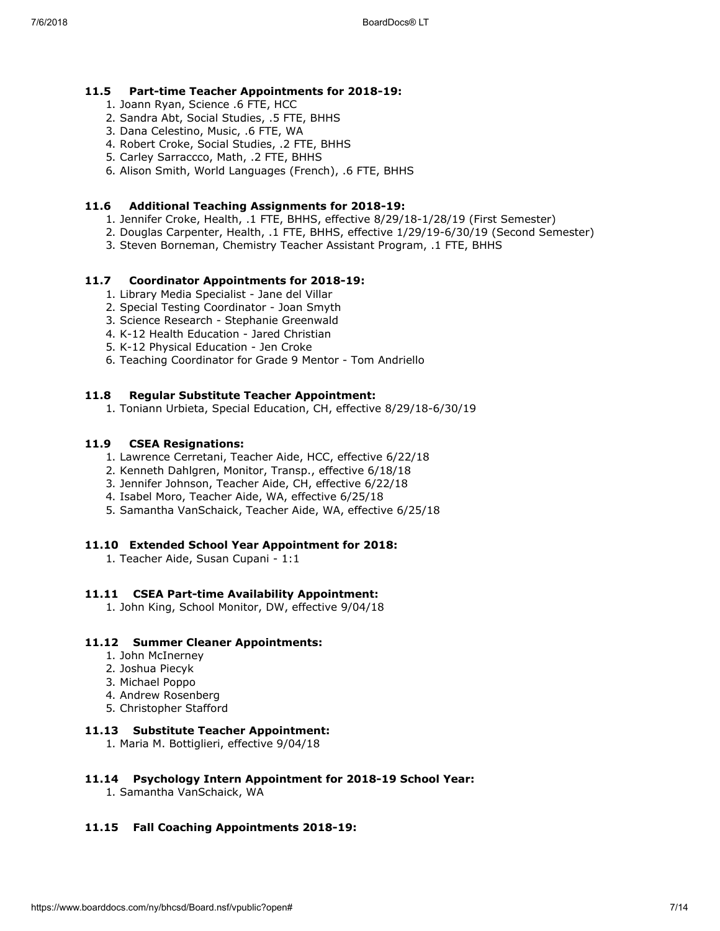#### **11.5 Part-time Teacher Appointments for 2018-19:**

- 1. Joann Ryan, Science .6 FTE, HCC
- 2. Sandra Abt, Social Studies, .5 FTE, BHHS
- 3. Dana Celestino, Music, .6 FTE, WA
- 4. Robert Croke, Social Studies, .2 FTE, BHHS
- 5. Carley Sarraccco, Math, .2 FTE, BHHS
- 6. Alison Smith, World Languages (French), .6 FTE, BHHS

#### **11.6 Additional Teaching Assignments for 2018-19:**

- 1. Jennifer Croke, Health, .1 FTE, BHHS, effective 8/29/18-1/28/19 (First Semester)
- 2. Douglas Carpenter, Health, .1 FTE, BHHS, effective 1/29/19-6/30/19 (Second Semester)
- 3. Steven Borneman, Chemistry Teacher Assistant Program, .1 FTE, BHHS

#### **11.7 Coordinator Appointments for 2018-19:**

- 1. Library Media Specialist Jane del Villar
- 2. Special Testing Coordinator Joan Smyth
- 3. Science Research Stephanie Greenwald
- 4. K-12 Health Education Jared Christian
- 5. K-12 Physical Education Jen Croke
- 6. Teaching Coordinator for Grade 9 Mentor Tom Andriello

#### **11.8 Regular Substitute Teacher Appointment:**

1. Toniann Urbieta, Special Education, CH, effective 8/29/18-6/30/19

#### **11.9 CSEA Resignations:**

- 1. Lawrence Cerretani, Teacher Aide, HCC, effective 6/22/18
- 2. Kenneth Dahlgren, Monitor, Transp., effective 6/18/18
- 3. Jennifer Johnson, Teacher Aide, CH, effective 6/22/18
- 4. Isabel Moro, Teacher Aide, WA, effective 6/25/18
- 5. Samantha VanSchaick, Teacher Aide, WA, effective 6/25/18

#### **11.10 Extended School Year Appointment for 2018:**

1. Teacher Aide, Susan Cupani - 1:1

#### **11.11 CSEA Part-time Availability Appointment:**

1. John King, School Monitor, DW, effective 9/04/18

#### **11.12 Summer Cleaner Appointments:**

- 1. John McInerney
- 2. Joshua Piecyk
- 3. Michael Poppo
- 4. Andrew Rosenberg
- 5. Christopher Stafford

### **11.13 Substitute Teacher Appointment:**

1. Maria M. Bottiglieri, effective 9/04/18

#### **11.14 Psychology Intern Appointment for 2018-19 School Year:**

1. Samantha VanSchaick, WA

#### **11.15 Fall Coaching Appointments 2018-19:**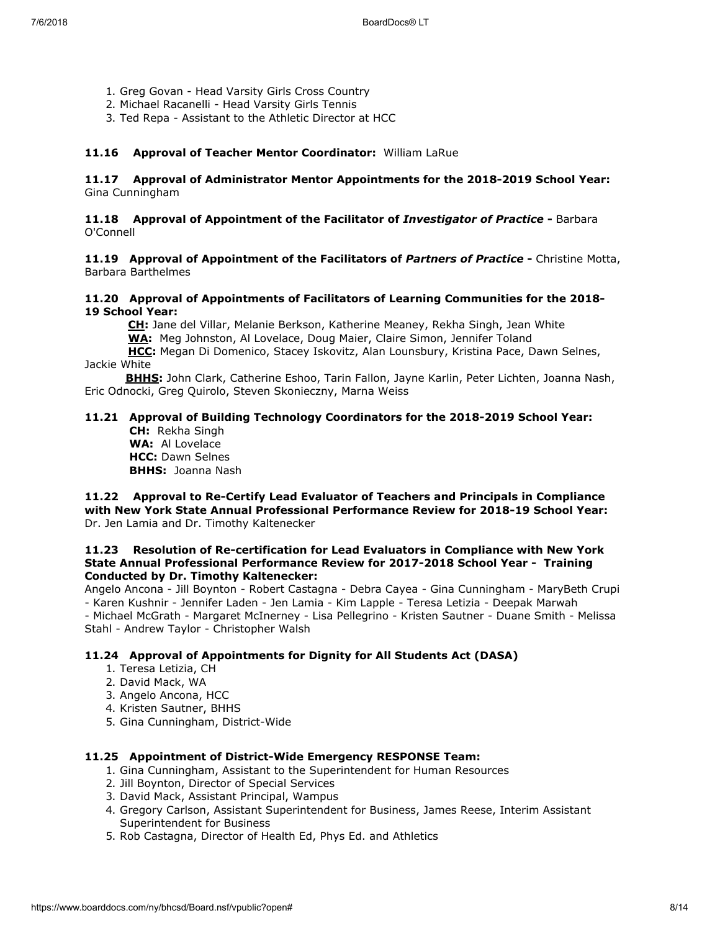- 1. Greg Govan Head Varsity Girls Cross Country
- 2. Michael Racanelli Head Varsity Girls Tennis
- 3. Ted Repa Assistant to the Athletic Director at HCC

#### **11.16 Approval of Teacher Mentor Coordinator:** William LaRue

#### **11.17 Approval of Administrator Mentor Appointments for the 2018-2019 School Year:**  Gina Cunningham

#### **11.18 Approval of Appointment of the Facilitator of** *Investigator of Practice* **-** Barbara O'Connell

**11.19 Approval of Appointment of the Facilitators of** *Partners of Practice* **-** Christine Motta, Barbara Barthelmes

#### **11.20 Approval of Appointments of Facilitators of Learning Communities for the 2018- 19 School Year:**

 **CH:** Jane del Villar, Melanie Berkson, Katherine Meaney, Rekha Singh, Jean White  **WA:** Meg Johnston, Al Lovelace, Doug Maier, Claire Simon, Jennifer Toland

 **HCC:** Megan Di Domenico, Stacey Iskovitz, Alan Lounsbury, Kristina Pace, Dawn Selnes, Jackie White

 **BHHS:** John Clark, Catherine Eshoo, Tarin Fallon, Jayne Karlin, Peter Lichten, Joanna Nash, Eric Odnocki, Greg Quirolo, Steven Skonieczny, Marna Weiss

#### **11.21 Approval of Building Technology Coordinators for the 2018-2019 School Year: CH:** Rekha Singh

 **WA:** Al Lovelace **HCC:** Dawn Selnes **BHHS:** Joanna Nash

**11.22 Approval to Re-Certify Lead Evaluator of Teachers and Principals in Compliance with New York State Annual Professional Performance Review for 2018-19 School Year:** Dr. Jen Lamia and Dr. Timothy Kaltenecker

#### **11.23 Resolution of Re-certification for Lead Evaluators in Compliance with New York State Annual Professional Performance Review for 2017-2018 School Year - Training Conducted by Dr. Timothy Kaltenecker:**

Angelo Ancona - Jill Boynton - Robert Castagna - Debra Cayea - Gina Cunningham - MaryBeth Crupi - Karen Kushnir - Jennifer Laden - Jen Lamia - Kim Lapple - Teresa Letizia - Deepak Marwah - Michael McGrath - Margaret McInerney - Lisa Pellegrino - Kristen Sautner - Duane Smith - Melissa Stahl - Andrew Taylor - Christopher Walsh

### **11.24 Approval of Appointments for Dignity for All Students Act (DASA)**

- 1. Teresa Letizia, CH
- 2. David Mack, WA
- 3. Angelo Ancona, HCC
- 4. Kristen Sautner, BHHS
- 5. Gina Cunningham, District-Wide

#### **11.25 Appointment of District-Wide Emergency RESPONSE Team:**

- 1. Gina Cunningham, Assistant to the Superintendent for Human Resources
- 2. Jill Boynton, Director of Special Services
- 3. David Mack, Assistant Principal, Wampus
- 4. Gregory Carlson, Assistant Superintendent for Business, James Reese, Interim Assistant Superintendent for Business
- 5. Rob Castagna, Director of Health Ed, Phys Ed. and Athletics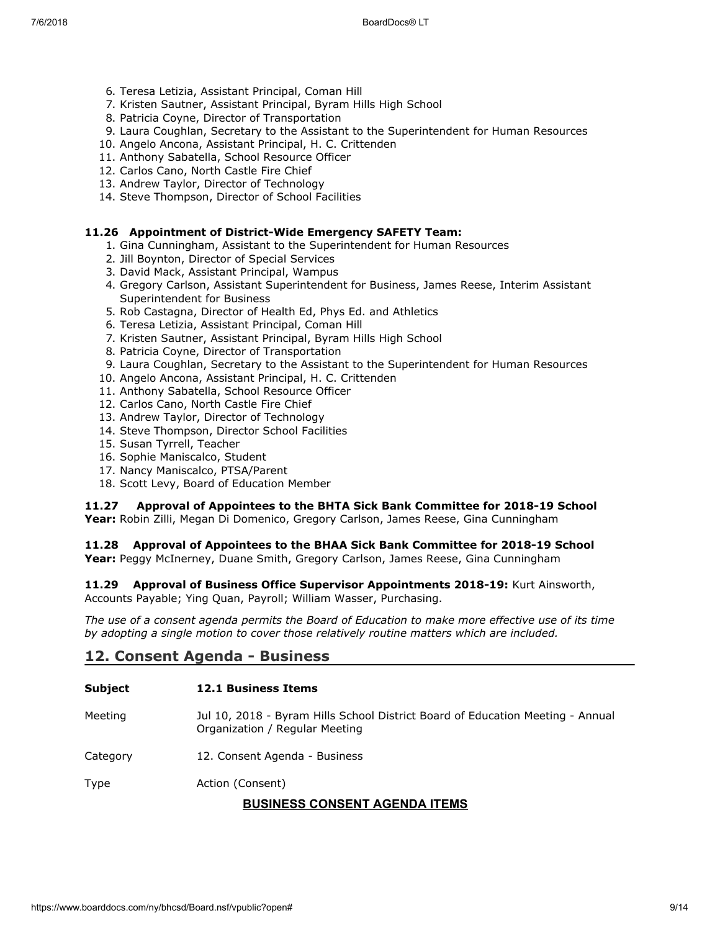- 6. Teresa Letizia, Assistant Principal, Coman Hill
- 7. Kristen Sautner, Assistant Principal, Byram Hills High School
- 8. Patricia Coyne, Director of Transportation
- 9. Laura Coughlan, Secretary to the Assistant to the Superintendent for Human Resources
- 10. Angelo Ancona, Assistant Principal, H. C. Crittenden
- 11. Anthony Sabatella, School Resource Officer
- 12. Carlos Cano, North Castle Fire Chief
- 13. Andrew Taylor, Director of Technology
- 14. Steve Thompson, Director of School Facilities

#### **11.26 Appointment of District-Wide Emergency SAFETY Team:**

- 1. Gina Cunningham, Assistant to the Superintendent for Human Resources
- 2. Jill Boynton, Director of Special Services
- 3. David Mack, Assistant Principal, Wampus
- 4. Gregory Carlson, Assistant Superintendent for Business, James Reese, Interim Assistant Superintendent for Business
- 5. Rob Castagna, Director of Health Ed, Phys Ed. and Athletics
- 6. Teresa Letizia, Assistant Principal, Coman Hill
- 7. Kristen Sautner, Assistant Principal, Byram Hills High School
- 8. Patricia Coyne, Director of Transportation
- 9. Laura Coughlan, Secretary to the Assistant to the Superintendent for Human Resources
- 10. Angelo Ancona, Assistant Principal, H. C. Crittenden
- 11. Anthony Sabatella, School Resource Officer
- 12. Carlos Cano, North Castle Fire Chief
- 13. Andrew Taylor, Director of Technology
- 14. Steve Thompson, Director School Facilities
- 15. Susan Tyrrell, Teacher
- 16. Sophie Maniscalco, Student
- 17. Nancy Maniscalco, PTSA/Parent
- 18. Scott Levy, Board of Education Member

#### **11.27 Approval of Appointees to the BHTA Sick Bank Committee for 2018-19 School**

**Year:** Robin Zilli, Megan Di Domenico, Gregory Carlson, James Reese, Gina Cunningham

#### **11.28 Approval of Appointees to the BHAA Sick Bank Committee for 2018-19 School**

**Year:** Peggy McInerney, Duane Smith, Gregory Carlson, James Reese, Gina Cunningham

**11.29 Approval of Business Office Supervisor Appointments 2018-19:** Kurt Ainsworth, Accounts Payable; Ying Quan, Payroll; William Wasser, Purchasing.

*The use of a consent agenda permits the Board of Education to make more effective use of its time by adopting a single motion to cover those relatively routine matters which are included.*

### **12. Consent Agenda - Business**

| <b>Subject</b>                       | <b>12.1 Business Items</b>                                                                                       |
|--------------------------------------|------------------------------------------------------------------------------------------------------------------|
| Meeting                              | Jul 10, 2018 - Byram Hills School District Board of Education Meeting - Annual<br>Organization / Regular Meeting |
| Category                             | 12. Consent Agenda - Business                                                                                    |
| Type                                 | Action (Consent)                                                                                                 |
| <b>BUSINESS CONSENT AGENDA ITEMS</b> |                                                                                                                  |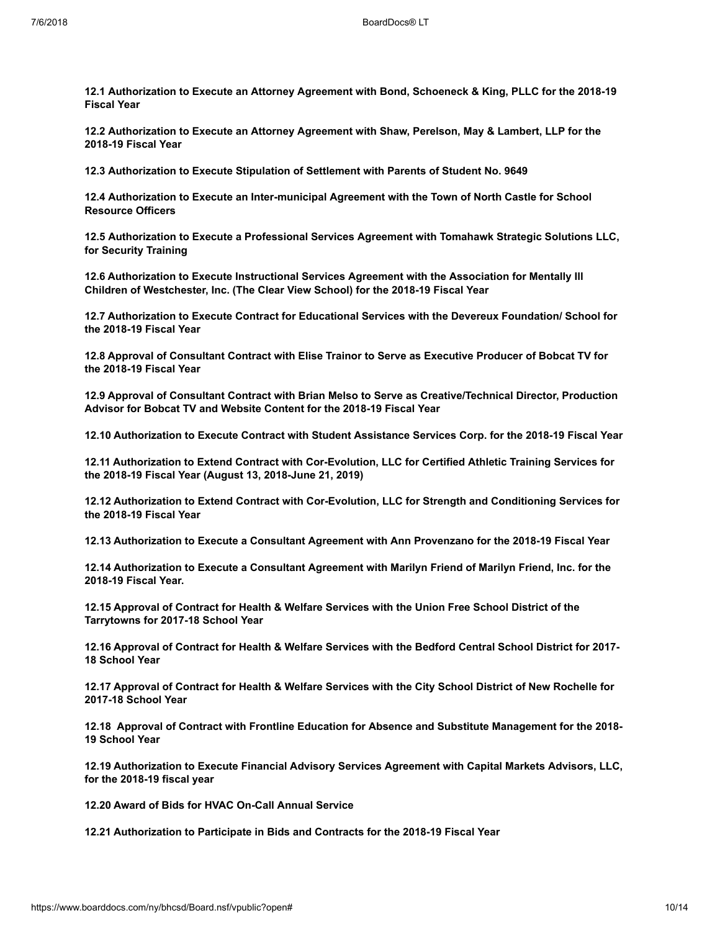**12.1 Authorization to Execute an Attorney Agreement with Bond, Schoeneck & King, PLLC for the 2018-19 Fiscal Year**

**12.2 Authorization to Execute an Attorney Agreement with Shaw, Perelson, May & Lambert, LLP for the 2018-19 Fiscal Year**

**12.3 Authorization to Execute Stipulation of Settlement with Parents of Student No. 9649**

**12.4 Authorization to Execute an Inter-municipal Agreement with the Town of North Castle for School Resource Officers**

**12.5 Authorization to Execute a Professional Services Agreement with Tomahawk Strategic Solutions LLC, for Security Training**

**12.6 Authorization to Execute Instructional Services Agreement with the Association for Mentally Ill Children of Westchester, Inc. (The Clear View School) for the 2018-19 Fiscal Year**

**12.7 Authorization to Execute Contract for Educational Services with the Devereux Foundation/ School for the 2018-19 Fiscal Year**

**12.8 Approval of Consultant Contract with Elise Trainor to Serve as Executive Producer of Bobcat TV for the 2018-19 Fiscal Year**

**12.9 Approval of Consultant Contract with Brian Melso to Serve as Creative/Technical Director, Production Advisor for Bobcat TV and Website Content for the 2018-19 Fiscal Year**

**12.10 Authorization to Execute Contract with Student Assistance Services Corp. for the 2018-19 Fiscal Year**

**12.11 Authorization to Extend Contract with Cor-Evolution, LLC for Certified Athletic Training Services for the 2018-19 Fiscal Year (August 13, 2018-June 21, 2019)**

**12.12 Authorization to Extend Contract with Cor-Evolution, LLC for Strength and Conditioning Services for the 2018-19 Fiscal Year**

**12.13 Authorization to Execute a Consultant Agreement with Ann Provenzano for the 2018-19 Fiscal Year**

**12.14 Authorization to Execute a Consultant Agreement with Marilyn Friend of Marilyn Friend, Inc. for the 2018-19 Fiscal Year.**

**12.15 Approval of Contract for Health & Welfare Services with the Union Free School District of the Tarrytowns for 2017-18 School Year**

**12.16 Approval of Contract for Health & Welfare Services with the Bedford Central School District for 2017- 18 School Year**

**12.17 Approval of Contract for Health & Welfare Services with the City School District of New Rochelle for 2017-18 School Year**

**12.18 Approval of Contract with Frontline Education for Absence and Substitute Management for the 2018- 19 School Year**

**12.19 Authorization to Execute Financial Advisory Services Agreement with Capital Markets Advisors, LLC, for the 2018-19 fiscal year**

**12.20 Award of Bids for HVAC On-Call Annual Service**

**12.21 Authorization to Participate in Bids and Contracts for the 2018-19 Fiscal Year**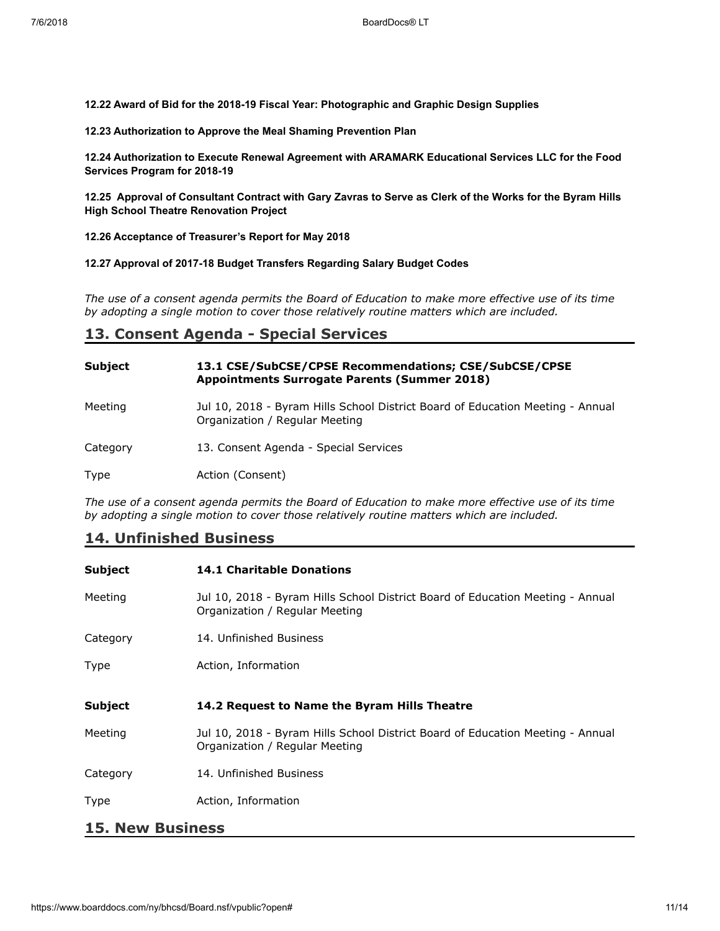**12.22 Award of Bid for the 2018-19 Fiscal Year: Photographic and Graphic Design Supplies**

**12.23 Authorization to Approve the Meal Shaming Prevention Plan**

**12.24 Authorization to Execute Renewal Agreement with ARAMARK Educational Services LLC for the Food Services Program for 2018-19**

**12.25 Approval of Consultant Contract with Gary Zavras to Serve as Clerk of the Works for the Byram Hills High School Theatre Renovation Project**

**12.26 Acceptance of Treasurer's Report for May 2018**

**12.27 Approval of 2017-18 Budget Transfers Regarding Salary Budget Codes**

*The use of a consent agenda permits the Board of Education to make more effective use of its time by adopting a single motion to cover those relatively routine matters which are included.*

### **13. Consent Agenda - Special Services**

| Subject  | 13.1 CSE/SubCSE/CPSE Recommendations; CSE/SubCSE/CPSE<br><b>Appointments Surrogate Parents (Summer 2018)</b>     |
|----------|------------------------------------------------------------------------------------------------------------------|
| Meeting  | Jul 10, 2018 - Byram Hills School District Board of Education Meeting - Annual<br>Organization / Regular Meeting |
| Category | 13. Consent Agenda - Special Services                                                                            |
| Type     | Action (Consent)                                                                                                 |

*The use of a consent agenda permits the Board of Education to make more effective use of its time by adopting a single motion to cover those relatively routine matters which are included.*

# **14. Unfinished Business**

| Subject                 | <b>14.1 Charitable Donations</b>                                                                                 |
|-------------------------|------------------------------------------------------------------------------------------------------------------|
| Meeting                 | Jul 10, 2018 - Byram Hills School District Board of Education Meeting - Annual<br>Organization / Regular Meeting |
| Category                | 14. Unfinished Business                                                                                          |
| Type                    | Action, Information                                                                                              |
| Subject                 | 14.2 Request to Name the Byram Hills Theatre                                                                     |
| Meeting                 | Jul 10, 2018 - Byram Hills School District Board of Education Meeting - Annual<br>Organization / Regular Meeting |
| Category                | 14. Unfinished Business                                                                                          |
| Type                    | Action, Information                                                                                              |
| <b>15. New Business</b> |                                                                                                                  |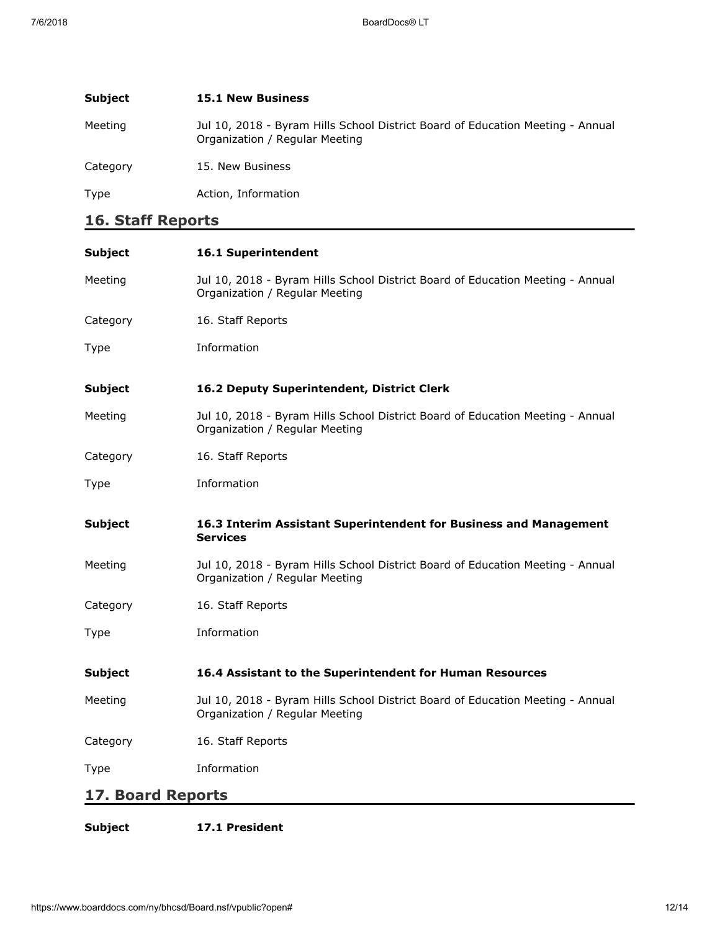| <b>Subject</b> | <b>15.1 New Business</b>                                                                                         |
|----------------|------------------------------------------------------------------------------------------------------------------|
| Meeting        | Jul 10, 2018 - Byram Hills School District Board of Education Meeting - Annual<br>Organization / Regular Meeting |
| Category       | 15. New Business                                                                                                 |
| Type           | Action, Information                                                                                              |

# **16. Staff Reports**

| <b>Subject</b>           | 16.1 Superintendent                                                                                              |
|--------------------------|------------------------------------------------------------------------------------------------------------------|
| Meeting                  | Jul 10, 2018 - Byram Hills School District Board of Education Meeting - Annual<br>Organization / Regular Meeting |
| Category                 | 16. Staff Reports                                                                                                |
| Type                     | Information                                                                                                      |
| <b>Subject</b>           | 16.2 Deputy Superintendent, District Clerk                                                                       |
| Meeting                  | Jul 10, 2018 - Byram Hills School District Board of Education Meeting - Annual<br>Organization / Regular Meeting |
| Category                 | 16. Staff Reports                                                                                                |
| Type                     | Information                                                                                                      |
| <b>Subject</b>           | 16.3 Interim Assistant Superintendent for Business and Management<br><b>Services</b>                             |
| Meeting                  | Jul 10, 2018 - Byram Hills School District Board of Education Meeting - Annual<br>Organization / Regular Meeting |
| Category                 | 16. Staff Reports                                                                                                |
| Type                     | Information                                                                                                      |
| <b>Subject</b>           | 16.4 Assistant to the Superintendent for Human Resources                                                         |
| Meeting                  | Jul 10, 2018 - Byram Hills School District Board of Education Meeting - Annual<br>Organization / Regular Meeting |
| Category                 | 16. Staff Reports                                                                                                |
| Type                     | Information                                                                                                      |
| <b>17. Board Reports</b> |                                                                                                                  |

### **Subject 17.1 President**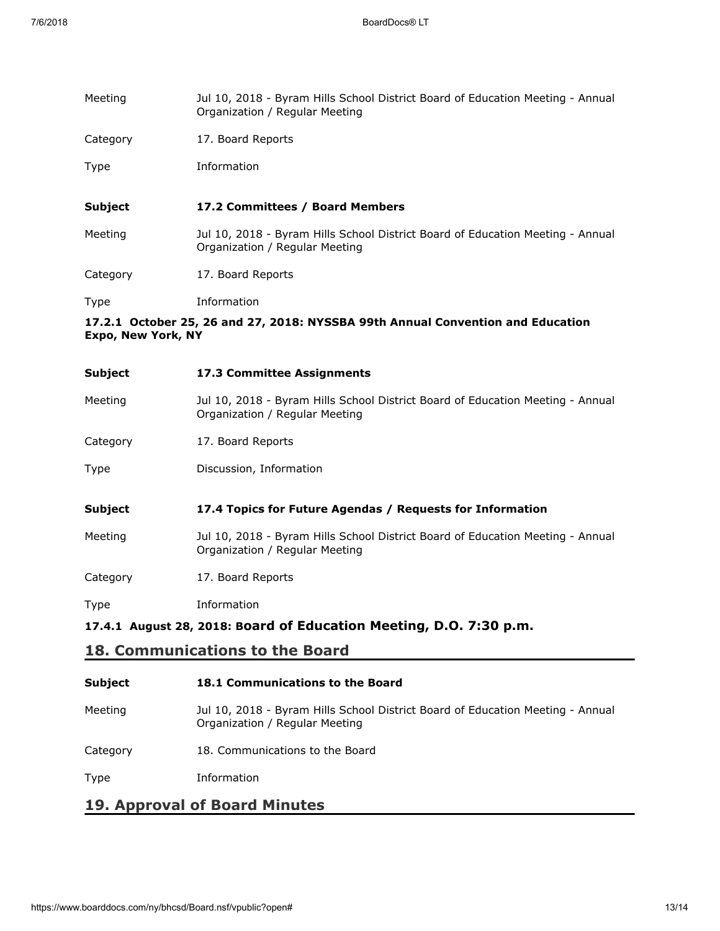| Meeting                                                                                                      | Jul 10, 2018 - Byram Hills School District Board of Education Meeting - Annual<br>Organization / Regular Meeting |
|--------------------------------------------------------------------------------------------------------------|------------------------------------------------------------------------------------------------------------------|
| Category                                                                                                     | 17. Board Reports                                                                                                |
| Type                                                                                                         | Information                                                                                                      |
| <b>Subject</b>                                                                                               | 17.2 Committees / Board Members                                                                                  |
| Meeting                                                                                                      | Jul 10, 2018 - Byram Hills School District Board of Education Meeting - Annual<br>Organization / Regular Meeting |
| Category                                                                                                     | 17. Board Reports                                                                                                |
| Type                                                                                                         | Information                                                                                                      |
| 17.2.1 October 25, 26 and 27, 2018: NYSSBA 99th Annual Convention and Education<br><b>Expo, New York, NY</b> |                                                                                                                  |
| <b>Subject</b>                                                                                               | 17.3 Committee Assignments                                                                                       |
| Meeting                                                                                                      | Jul 10, 2018 - Byram Hills School District Board of Education Meeting - Annual<br>Organization / Regular Meeting |
| Category                                                                                                     | 17. Board Reports                                                                                                |

Type Discussion, Information

#### **Subject 17.4 Topics for Future Agendas / Requests for Information**

Meeting Jul 10, 2018 - Byram Hills School District Board of Education Meeting - Annual Organization / Regular Meeting

Category 17. Board Reports

Type Information

**17.4.1 August 28, 2018: Board of Education Meeting, D.O. 7:30 p.m.**

# **18. Communications to the Board**

| <b>Subject</b> | <b>18.1 Communications to the Board</b>                                                                          |
|----------------|------------------------------------------------------------------------------------------------------------------|
| Meeting        | Jul 10, 2018 - Byram Hills School District Board of Education Meeting - Annual<br>Organization / Regular Meeting |
| Category       | 18. Communications to the Board                                                                                  |
| Type           | Information                                                                                                      |
|                |                                                                                                                  |

### **19. Approval of Board Minutes**